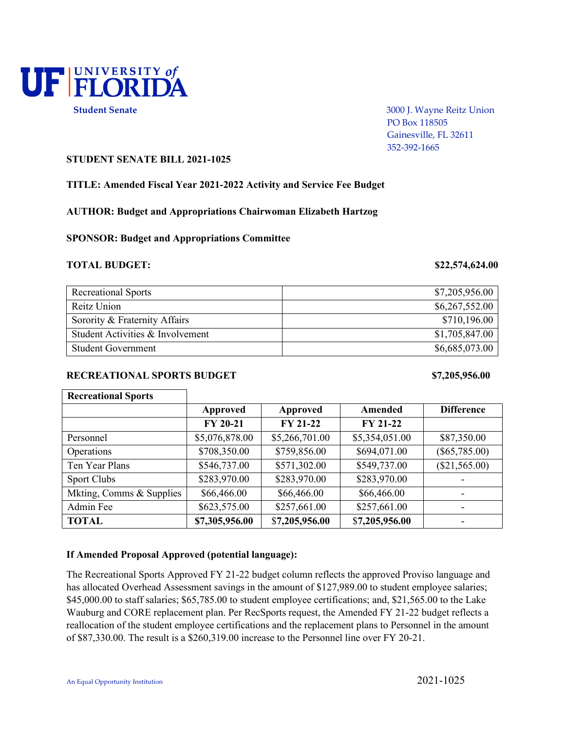

 PO Box 118505 Gainesville, FL 32611 352-392-1665

## **STUDENT SENATE BILL 2021-1025**

### **TITLE: Amended Fiscal Year 2021-2022 Activity and Service Fee Budget**

**AUTHOR: Budget and Appropriations Chairwoman Elizabeth Hartzog**

**SPONSOR: Budget and Appropriations Committee**

### **TOTAL BUDGET: \$22,574,624.00**

| <b>Recreational Sports</b>       | \$7,205,956.00 |
|----------------------------------|----------------|
| Reitz Union                      | \$6,267,552.00 |
| Sorority & Fraternity Affairs    | \$710,196.00   |
| Student Activities & Involvement | \$1,705,847.00 |
| <b>Student Government</b>        | \$6,685,073.00 |

## RECREATIONAL SPORTS BUDGET \$7,205,956.00

| <b>Recreational Sports</b> |                 |                 |                 |                   |
|----------------------------|-----------------|-----------------|-----------------|-------------------|
|                            | <b>Approved</b> | Approved        | Amended         | <b>Difference</b> |
|                            | <b>FY 20-21</b> | <b>FY 21-22</b> | <b>FY 21-22</b> |                   |
| Personnel                  | \$5,076,878.00  | \$5,266,701.00  | \$5,354,051.00  | \$87,350.00       |
| Operations                 | \$708,350.00    | \$759,856.00    | \$694,071.00    | $(\$65,785.00)$   |
| Ten Year Plans             | \$546,737.00    | \$571,302.00    | \$549,737.00    | (\$21,565.00)     |
| <b>Sport Clubs</b>         | \$283,970.00    | \$283,970.00    | \$283,970.00    |                   |
| Mkting, Comms & Supplies   | \$66,466.00     | \$66,466.00     | \$66,466.00     |                   |
| Admin Fee                  | \$623,575.00    | \$257,661.00    | \$257,661.00    |                   |
| <b>TOTAL</b>               | \$7,305,956.00  | \$7,205,956.00  | \$7,205,956.00  |                   |

## **If Amended Proposal Approved (potential language):**

The Recreational Sports Approved FY 21-22 budget column reflects the approved Proviso language and has allocated Overhead Assessment savings in the amount of \$127,989.00 to student employee salaries; \$45,000.00 to staff salaries; \$65,785.00 to student employee certifications; and, \$21,565.00 to the Lake Wauburg and CORE replacement plan. Per RecSports request, the Amended FY 21-22 budget reflects a reallocation of the student employee certifications and the replacement plans to Personnel in the amount of \$87,330.00. The result is a \$260,319.00 increase to the Personnel line over FY 20-21.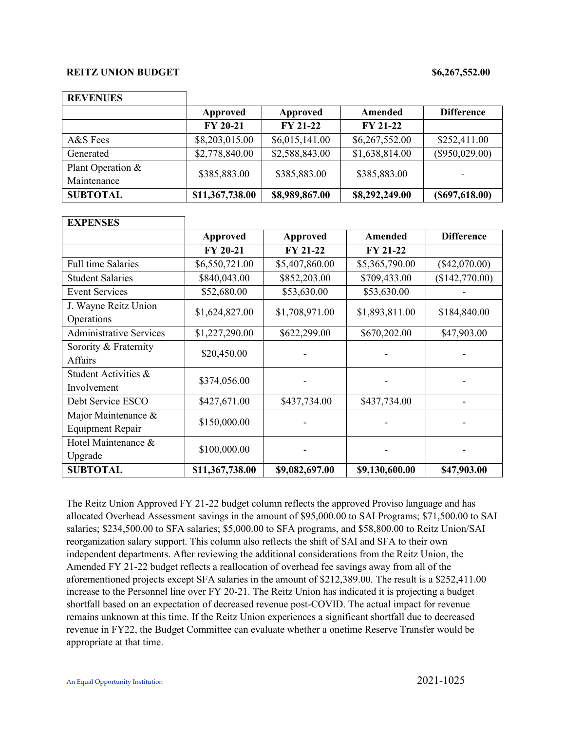### **REITZ UNION BUDGET** \$6,267,552.00

| <b>REVENUES</b>   |                 |                 |                 |                   |
|-------------------|-----------------|-----------------|-----------------|-------------------|
|                   | Approved        | Approved        | Amended         | <b>Difference</b> |
|                   | <b>FY 20-21</b> | <b>FY 21-22</b> | <b>FY 21-22</b> |                   |
| A&S Fees          | \$8,203,015.00  | \$6,015,141.00  | \$6,267,552.00  | \$252,411.00      |
| Generated         | \$2,778,840.00  | \$2,588,843.00  | \$1,638,814.00  | $(\$950,029.00)$  |
| Plant Operation & | \$385,883.00    | \$385,883.00    | \$385,883.00    |                   |
| Maintenance       |                 |                 |                 | ۰                 |
| <b>SUBTOTAL</b>   | \$11,367,738.00 | \$8,989,867.00  | \$8,292,249.00  | (S697, 618.00)    |

| <b>EXPENSES</b>                    |                 |                 |                 |                   |
|------------------------------------|-----------------|-----------------|-----------------|-------------------|
|                                    | <b>Approved</b> | <b>Approved</b> | <b>Amended</b>  | <b>Difference</b> |
|                                    | <b>FY 20-21</b> | <b>FY 21-22</b> | <b>FY 21-22</b> |                   |
| <b>Full time Salaries</b>          | \$6,550,721.00  | \$5,407,860.00  | \$5,365,790.00  | $(\$42,070.00)$   |
| <b>Student Salaries</b>            | \$840,043.00    | \$852,203.00    | \$709,433.00    | (\$142,770.00)    |
| <b>Event Services</b>              | \$52,680.00     | \$53,630.00     | \$53,630.00     |                   |
| J. Wayne Reitz Union<br>Operations | \$1,624,827.00  | \$1,708,971.00  | \$1,893,811.00  | \$184,840.00      |
| <b>Administrative Services</b>     | \$1,227,290.00  | \$622,299.00    | \$670,202.00    | \$47,903.00       |
| Sorority & Fraternity              | \$20,450.00     |                 |                 |                   |
| Affairs                            |                 |                 |                 |                   |
| Student Activities &               | \$374,056.00    |                 |                 |                   |
| Involvement                        |                 |                 |                 |                   |
| Debt Service ESCO                  | \$427,671.00    | \$437,734.00    | \$437,734.00    |                   |
| Major Maintenance &                | \$150,000.00    |                 |                 |                   |
| <b>Equipment Repair</b>            |                 |                 |                 |                   |
| Hotel Maintenance &                | \$100,000.00    |                 |                 |                   |
| Upgrade                            |                 |                 |                 |                   |
| <b>SUBTOTAL</b>                    | \$11,367,738.00 | \$9,082,697.00  | \$9,130,600.00  | \$47,903.00       |

The Reitz Union Approved FY 21-22 budget column reflects the approved Proviso language and has allocated Overhead Assessment savings in the amount of \$95,000.00 to SAI Programs; \$71,500.00 to SAI salaries; \$234,500.00 to SFA salaries; \$5,000.00 to SFA programs, and \$58,800.00 to Reitz Union/SAI reorganization salary support. This column also reflects the shift of SAI and SFA to their own independent departments. After reviewing the additional considerations from the Reitz Union, the Amended FY 21-22 budget reflects a reallocation of overhead fee savings away from all of the aforementioned projects except SFA salaries in the amount of \$212,389.00. The result is a \$252,411.00 increase to the Personnel line over FY 20-21. The Reitz Union has indicated it is projecting a budget shortfall based on an expectation of decreased revenue post-COVID. The actual impact for revenue remains unknown at this time. If the Reitz Union experiences a significant shortfall due to decreased revenue in FY22, the Budget Committee can evaluate whether a onetime Reserve Transfer would be appropriate at that time.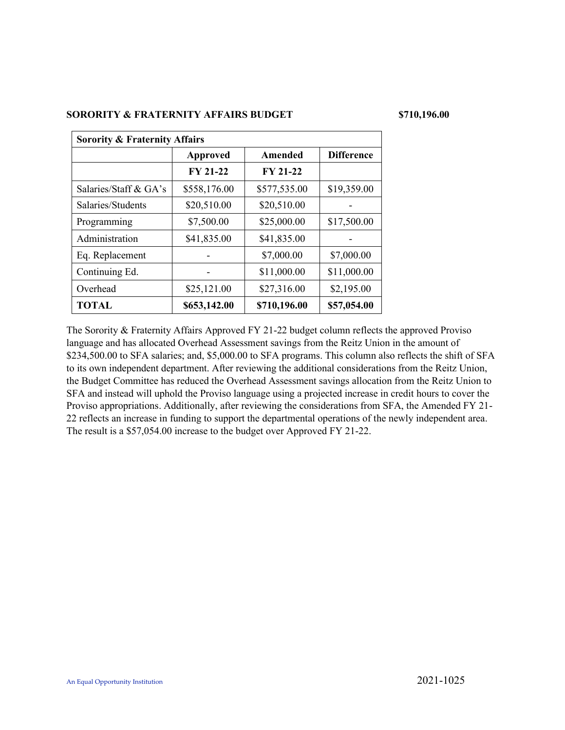### **SORORITY & FRATERNITY AFFAIRS BUDGET \$710,196.00**

| <b>Sorority &amp; Fraternity Affairs</b> |                 |                 |                   |  |  |
|------------------------------------------|-----------------|-----------------|-------------------|--|--|
|                                          | <b>Approved</b> | Amended         | <b>Difference</b> |  |  |
|                                          | <b>FY 21-22</b> | <b>FY 21-22</b> |                   |  |  |
| Salaries/Staff & GA's                    | \$558,176.00    | \$577,535.00    | \$19,359.00       |  |  |
| Salaries/Students                        | \$20,510.00     | \$20,510.00     |                   |  |  |
| Programming                              | \$7,500.00      | \$25,000.00     | \$17,500.00       |  |  |
| Administration                           | \$41,835.00     | \$41,835.00     |                   |  |  |
| Eq. Replacement                          |                 | \$7,000.00      | \$7,000.00        |  |  |
| Continuing Ed.                           |                 | \$11,000.00     | \$11,000.00       |  |  |
| Overhead                                 | \$25,121.00     | \$27,316.00     | \$2,195.00        |  |  |
| <b>TOTAL</b>                             | \$653,142.00    | \$710,196.00    | \$57,054.00       |  |  |

The Sorority & Fraternity Affairs Approved FY 21-22 budget column reflects the approved Proviso language and has allocated Overhead Assessment savings from the Reitz Union in the amount of \$234,500.00 to SFA salaries; and, \$5,000.00 to SFA programs. This column also reflects the shift of SFA to its own independent department. After reviewing the additional considerations from the Reitz Union, the Budget Committee has reduced the Overhead Assessment savings allocation from the Reitz Union to SFA and instead will uphold the Proviso language using a projected increase in credit hours to cover the Proviso appropriations. Additionally, after reviewing the considerations from SFA, the Amended FY 21- 22 reflects an increase in funding to support the departmental operations of the newly independent area. The result is a \$57,054.00 increase to the budget over Approved FY 21-22.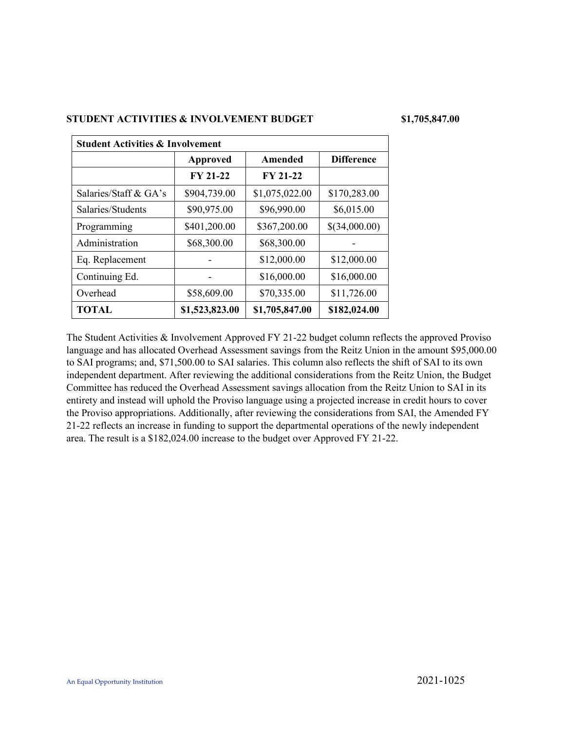## **STUDENT ACTIVITIES & INVOLVEMENT BUDGET \$1,705,847.00**

| <b>Student Activities &amp; Involvement</b> |                 |                 |                   |  |  |
|---------------------------------------------|-----------------|-----------------|-------------------|--|--|
|                                             | Approved        | Amended         | <b>Difference</b> |  |  |
|                                             | <b>FY 21-22</b> | <b>FY 21-22</b> |                   |  |  |
| Salaries/Staff & GA's                       | \$904,739.00    | \$1,075,022.00  | \$170,283.00      |  |  |
| Salaries/Students                           | \$90,975.00     | \$96,990.00     | \$6,015.00        |  |  |
| Programming                                 | \$401,200.00    | \$367,200.00    | \$(34,000.00)     |  |  |
| Administration                              | \$68,300.00     | \$68,300.00     |                   |  |  |
| Eq. Replacement                             |                 | \$12,000.00     | \$12,000.00       |  |  |
| Continuing Ed.                              |                 | \$16,000.00     | \$16,000.00       |  |  |
| Overhead                                    | \$58,609.00     | \$70,335.00     | \$11,726.00       |  |  |
| <b>TOTAL</b>                                | \$1,523,823.00  | \$1,705,847.00  | \$182,024.00      |  |  |

The Student Activities & Involvement Approved FY 21-22 budget column reflects the approved Proviso language and has allocated Overhead Assessment savings from the Reitz Union in the amount \$95,000.00 to SAI programs; and, \$71,500.00 to SAI salaries. This column also reflects the shift of SAI to its own independent department. After reviewing the additional considerations from the Reitz Union, the Budget Committee has reduced the Overhead Assessment savings allocation from the Reitz Union to SAI in its entirety and instead will uphold the Proviso language using a projected increase in credit hours to cover the Proviso appropriations. Additionally, after reviewing the considerations from SAI, the Amended FY 21-22 reflects an increase in funding to support the departmental operations of the newly independent area. The result is a \$182,024.00 increase to the budget over Approved FY 21-22.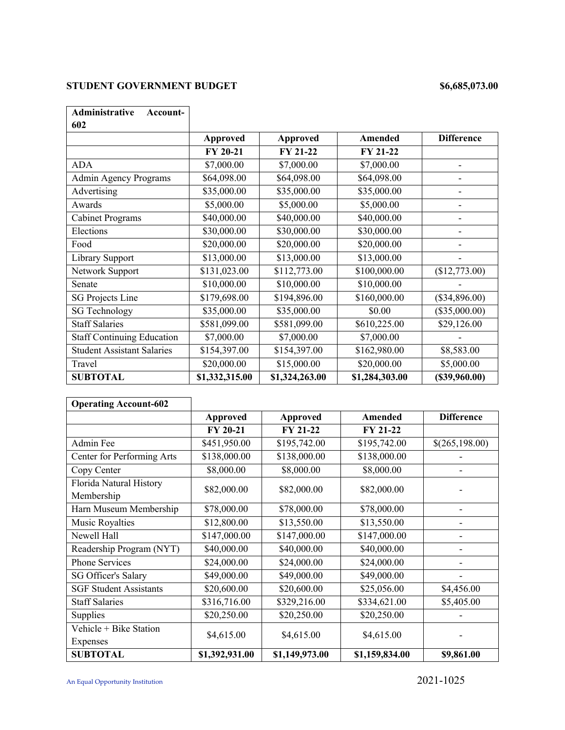# **STUDENT GOVERNMENT BUDGET** \$6,685,073.00

| Administrative<br>Account-        |                 |                 |                |                   |
|-----------------------------------|-----------------|-----------------|----------------|-------------------|
| 602                               |                 |                 |                |                   |
|                                   | <b>Approved</b> | <b>Approved</b> | Amended        | <b>Difference</b> |
|                                   | FY 20-21        | FY 21-22        | FY 21-22       |                   |
| <b>ADA</b>                        | \$7,000.00      | \$7,000.00      | \$7,000.00     |                   |
| <b>Admin Agency Programs</b>      | \$64,098.00     | \$64,098.00     | \$64,098.00    |                   |
| Advertising                       | \$35,000.00     | \$35,000.00     | \$35,000.00    |                   |
| Awards                            | \$5,000.00      | \$5,000.00      | \$5,000.00     |                   |
| <b>Cabinet Programs</b>           | \$40,000.00     | \$40,000.00     | \$40,000.00    |                   |
| Elections                         | \$30,000.00     | \$30,000.00     | \$30,000.00    |                   |
| Food                              | \$20,000.00     | \$20,000.00     | \$20,000.00    |                   |
| Library Support                   | \$13,000.00     | \$13,000.00     | \$13,000.00    |                   |
| Network Support                   | \$131,023.00    | \$112,773.00    | \$100,000.00   | (\$12,773.00)     |
| Senate                            | \$10,000.00     | \$10,000.00     | \$10,000.00    |                   |
| <b>SG Projects Line</b>           | \$179,698.00    | \$194,896.00    | \$160,000.00   | $(\$34,896.00)$   |
| <b>SG Technology</b>              | \$35,000.00     | \$35,000.00     | \$0.00         | $(\$35,000.00)$   |
| <b>Staff Salaries</b>             | \$581,099.00    | \$581,099.00    | \$610,225.00   | \$29,126.00       |
| <b>Staff Continuing Education</b> | \$7,000.00      | \$7,000.00      | \$7,000.00     |                   |
| <b>Student Assistant Salaries</b> | \$154,397.00    | \$154,397.00    | \$162,980.00   | \$8,583.00        |
| Travel                            | \$20,000.00     | \$15,000.00     | \$20,000.00    | \$5,000.00        |
| <b>SUBTOTAL</b>                   | \$1,332,315.00  | \$1,324,263.00  | \$1,284,303.00 | (\$39,960.00)     |

| <b>Operating Account-602</b>          |                 |                 |                 |                   |
|---------------------------------------|-----------------|-----------------|-----------------|-------------------|
|                                       | Approved        | <b>Approved</b> | Amended         | <b>Difference</b> |
|                                       | <b>FY 20-21</b> | <b>FY 21-22</b> | <b>FY 21-22</b> |                   |
| Admin Fee                             | \$451,950.00    | \$195,742.00    | \$195,742.00    | \$(265,198.00)    |
| Center for Performing Arts            | \$138,000.00    | \$138,000.00    | \$138,000.00    |                   |
| Copy Center                           | \$8,000.00      | \$8,000.00      | \$8,000.00      |                   |
| Florida Natural History<br>Membership | \$82,000.00     | \$82,000.00     | \$82,000.00     |                   |
| Harn Museum Membership                | \$78,000.00     | \$78,000.00     | \$78,000.00     |                   |
| <b>Music Royalties</b>                | \$12,800.00     | \$13,550.00     | \$13,550.00     |                   |
| Newell Hall                           | \$147,000.00    | \$147,000.00    | \$147,000.00    |                   |
| Readership Program (NYT)              | \$40,000.00     | \$40,000.00     | \$40,000.00     |                   |
| <b>Phone Services</b>                 | \$24,000.00     | \$24,000.00     | \$24,000.00     |                   |
| <b>SG Officer's Salary</b>            | \$49,000.00     | \$49,000.00     | \$49,000.00     |                   |
| <b>SGF Student Assistants</b>         | \$20,600.00     | \$20,600.00     | \$25,056.00     | \$4,456.00        |
| <b>Staff Salaries</b>                 | \$316,716.00    | \$329,216.00    | \$334,621.00    | \$5,405.00        |
| Supplies                              | \$20,250.00     | \$20,250.00     | \$20,250.00     |                   |
| Vehicle + Bike Station                | \$4,615.00      | \$4,615.00      | \$4,615.00      |                   |
| Expenses                              |                 |                 |                 |                   |
| <b>SUBTOTAL</b>                       | \$1,392,931.00  | \$1,149,973.00  | \$1,159,834.00  | \$9,861.00        |

An Equal Opportunity Institution 2021-1025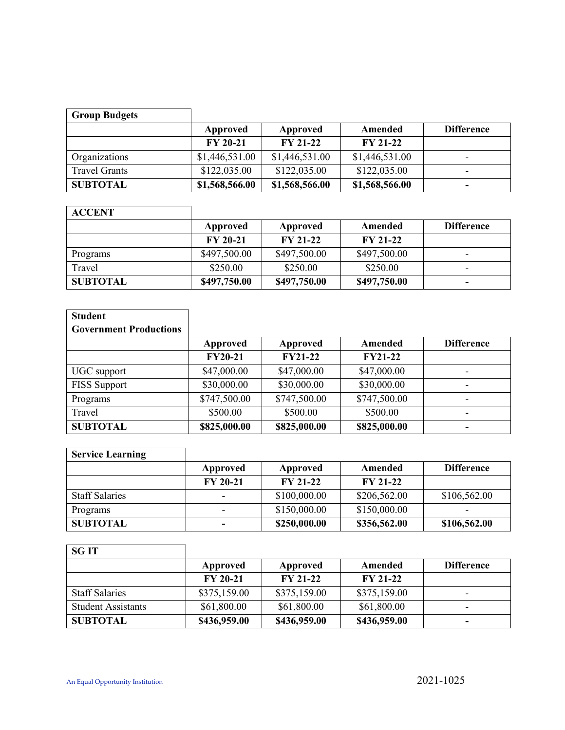| <b>Group Budgets</b> |                |                 |                 |                   |
|----------------------|----------------|-----------------|-----------------|-------------------|
|                      | Approved       | Approved        | Amended         | <b>Difference</b> |
|                      | FY 20-21       | <b>FY 21-22</b> | <b>FY 21-22</b> |                   |
| Organizations        | \$1,446,531.00 | \$1,446,531.00  | \$1,446,531.00  | -                 |
| <b>Travel Grants</b> | \$122,035.00   | \$122,035.00    | \$122,035.00    | -                 |
| <b>SUBTOTAL</b>      | \$1,568,566.00 | \$1,568,566.00  | \$1,568,566.00  | -                 |

| <b>ACCENT</b>   |                 |                 |                 |                   |
|-----------------|-----------------|-----------------|-----------------|-------------------|
|                 | Approved        | Approved        | Amended         | <b>Difference</b> |
|                 | <b>FY 20-21</b> | <b>FY 21-22</b> | <b>FY 21-22</b> |                   |
| Programs        | \$497,500.00    | \$497,500.00    | \$497,500.00    | -                 |
| Travel          | \$250.00        | \$250.00        | \$250.00        | -                 |
| <b>SUBTOTAL</b> | \$497,750.00    | \$497,750.00    | \$497,750.00    | $\blacksquare$    |

| <b>Student</b>                |                |                |                |                   |
|-------------------------------|----------------|----------------|----------------|-------------------|
| <b>Government Productions</b> |                |                |                |                   |
|                               | Approved       | Approved       | Amended        | <b>Difference</b> |
|                               | <b>FY20-21</b> | <b>FY21-22</b> | <b>FY21-22</b> |                   |
| UGC support                   | \$47,000.00    | \$47,000.00    | \$47,000.00    |                   |
| <b>FISS Support</b>           | \$30,000.00    | \$30,000.00    | \$30,000.00    | ۰                 |
| Programs                      | \$747,500.00   | \$747,500.00   | \$747,500.00   | ۰                 |
| Travel                        | \$500.00       | \$500.00       | \$500.00       |                   |
| <b>SUBTOTAL</b>               | \$825,000.00   | \$825,000.00   | \$825,000.00   |                   |

| <b>Service Learning</b> |                          |                 |                 |                   |
|-------------------------|--------------------------|-----------------|-----------------|-------------------|
|                         | Approved                 | Approved        | Amended         | <b>Difference</b> |
|                         | <b>FY 20-21</b>          | <b>FY 21-22</b> | <b>FY 21-22</b> |                   |
| <b>Staff Salaries</b>   | $\overline{\phantom{a}}$ | \$100,000.00    | \$206,562.00    | \$106,562.00      |
| Programs                | $\overline{\phantom{a}}$ | \$150,000.00    | \$150,000.00    |                   |
| <b>SUBTOTAL</b>         | $\overline{\phantom{0}}$ | \$250,000.00    | \$356,562.00    | \$106,562.00      |

| <b>SGIT</b>               |                 |              |                 |                   |
|---------------------------|-----------------|--------------|-----------------|-------------------|
|                           | Approved        | Approved     | Amended         | <b>Difference</b> |
|                           | <b>FY 20-21</b> | $FY 21-22$   | <b>FY 21-22</b> |                   |
| <b>Staff Salaries</b>     | \$375,159.00    | \$375,159.00 | \$375,159.00    | -                 |
| <b>Student Assistants</b> | \$61,800.00     | \$61,800.00  | \$61,800.00     | -                 |
| <b>SUBTOTAL</b>           | \$436,959.00    | \$436,959.00 | \$436,959.00    | -                 |